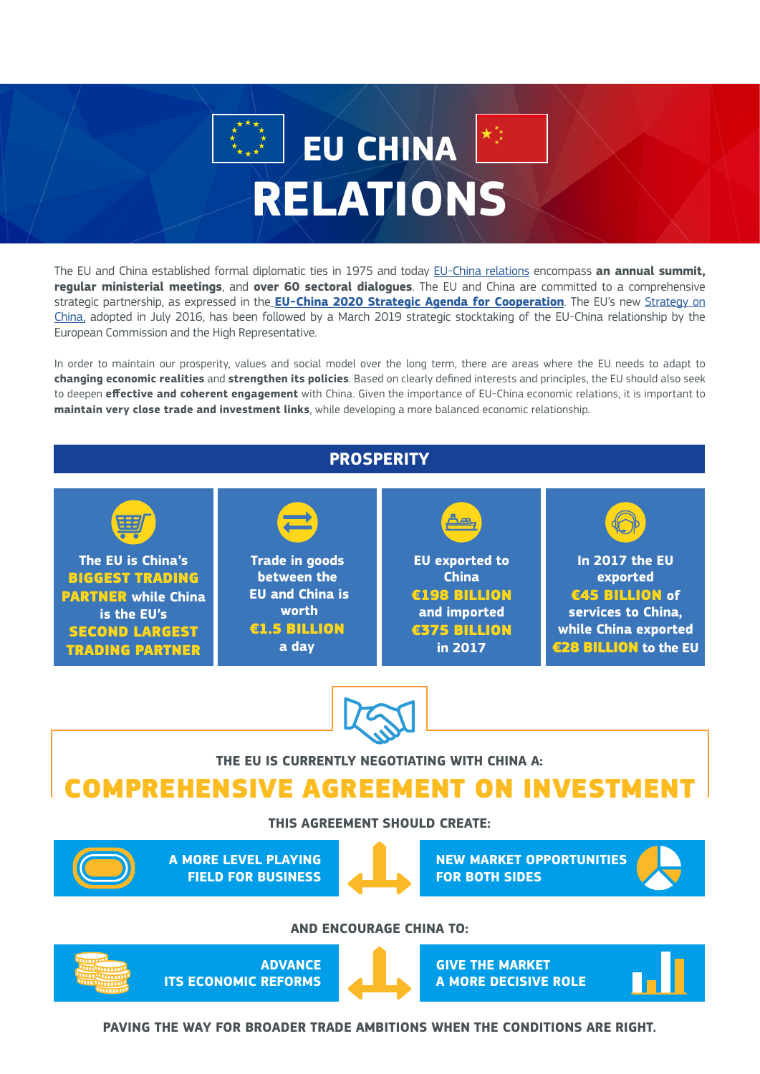# **EU CHINA RELATIONS**

The EU and China established formal diplomatic ties in 1975 and today [EU-China relations](https://eeas.europa.eu/headquarters/headquarters-homepage/15394/china-and-eu_en) encompass **an annual summit, regular ministerial meetings**, and **over 60 sectoral dialogues**. The EU and China are committed to a comprehensive strategic partnership, as expressed in the **[EU-China 2020 Strategic Agenda for Cooperation](http://eeas.europa.eu/archives/docs/china/docs/eu-china_2020_strategic_agenda_en.pdf)**. The EU's new [Strategy on](https://eeas.europa.eu/sites/eeas/files/20131123.pdf)  [China](https://eeas.europa.eu/sites/eeas/files/20131123.pdf), adopted in July 2016, has been followed by a March 2019 strategic stocktaking of the EU-China relationship by the European Commission and the High Representative.

In order to maintain our prosperity, values and social model over the long term, there are areas where the EU needs to adapt to **changing economic realities** and **strengthen its policies**. Based on clearly defined interests and principles, the EU should also seek to deepen **effective and coherent engagement** with China. Given the importance of EU-China economic relations, it is important to **maintain very close trade and investment links**, while developing a more balanced economic relationship.